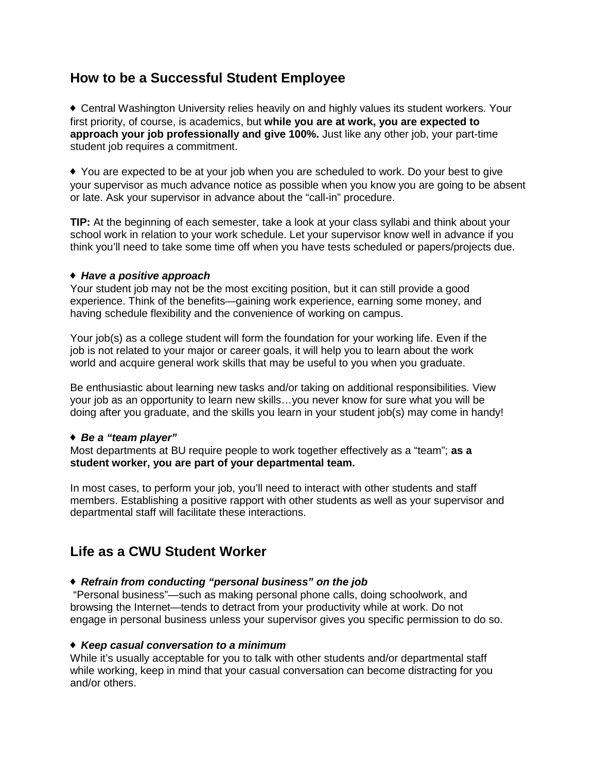# **How to be a Successful Student Employee**

♦ Central Washington University relies heavily on and highly values its student workers. Your first priority, of course, is academics, but **while you are at work, you are expected to approach your job professionally and give 100%.** Just like any other job, your part-time student job requires a commitment.

♦ You are expected to be at your job when you are scheduled to work. Do your best to give your supervisor as much advance notice as possible when you know you are going to be absent or late. Ask your supervisor in advance about the "call-in" procedure.

**TIP:** At the beginning of each semester, take a look at your class syllabi and think about your school work in relation to your work schedule. Let your supervisor know well in advance if you think you'll need to take some time off when you have tests scheduled or papers/projects due.

## ♦ *Have a positive approach*

Your student job may not be the most exciting position, but it can still provide a good experience. Think of the benefits—gaining work experience, earning some money, and having schedule flexibility and the convenience of working on campus.

Your job(s) as a college student will form the foundation for your working life. Even if the job is not related to your major or career goals, it will help you to learn about the work world and acquire general work skills that may be useful to you when you graduate.

Be enthusiastic about learning new tasks and/or taking on additional responsibilities. View your job as an opportunity to learn new skills…you never know for sure what you will be doing after you graduate, and the skills you learn in your student job(s) may come in handy!

# ♦ *Be a "team player"*

Most departments at BU require people to work together effectively as a "team"; **as a student worker, you are part of your departmental team.**

In most cases, to perform your job, you'll need to interact with other students and staff members. Establishing a positive rapport with other students as well as your supervisor and departmental staff will facilitate these interactions.

# **Life as a CWU Student Worker**

# ♦ *Refrain from conducting "personal business" on the job*

"Personal business"—such as making personal phone calls, doing schoolwork, and browsing the Internet—tends to detract from your productivity while at work. Do not engage in personal business unless your supervisor gives you specific permission to do so.

## ♦ *Keep casual conversation to a minimum*

While it's usually acceptable for you to talk with other students and/or departmental staff while working, keep in mind that your casual conversation can become distracting for you and/or others.